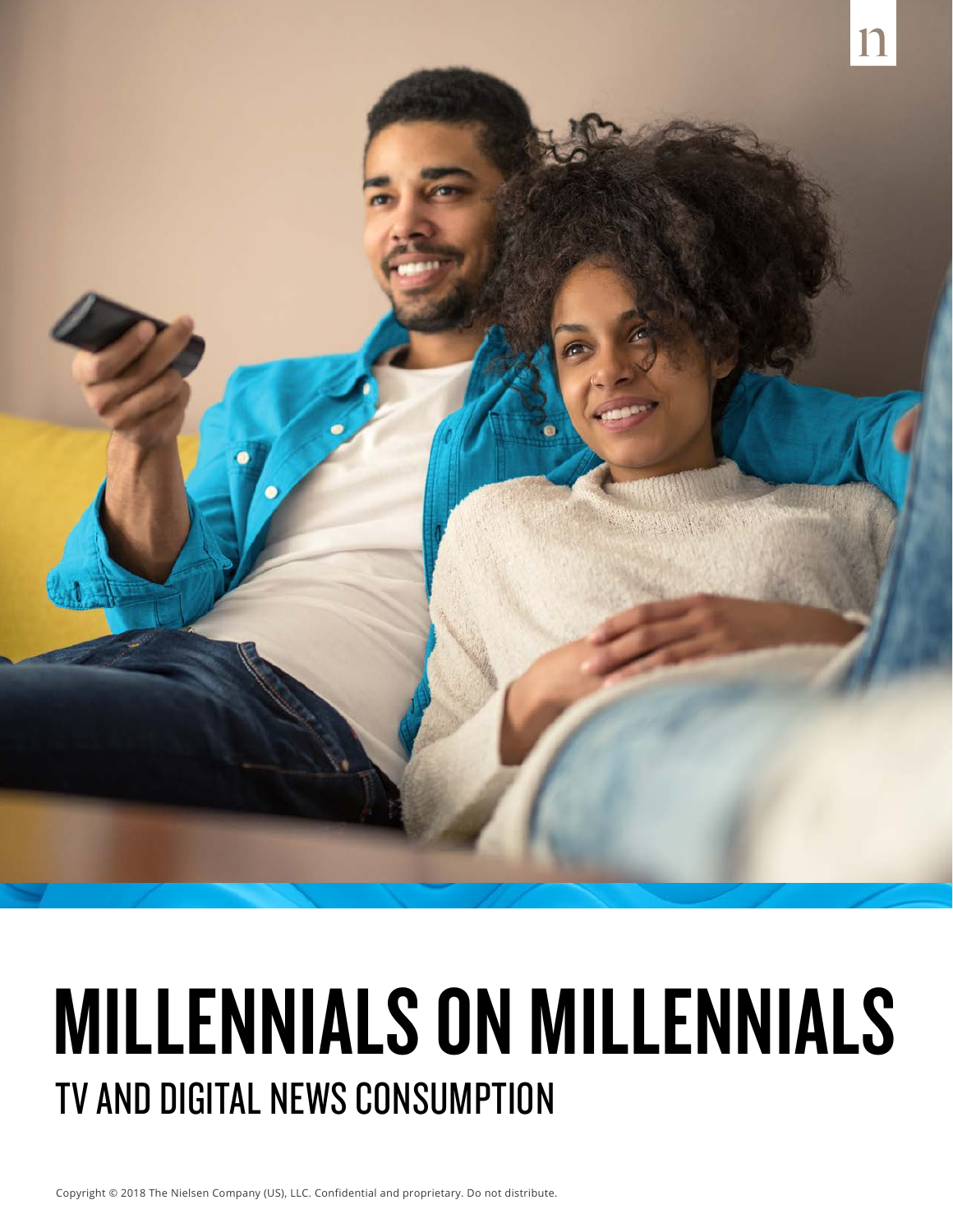

### MILLENNIALS ON MILLENNIALS TV AND DIGITAL NEWS CONSUMPTION

Copyright © 2018 The Nielsen Company (US), LLC. Confidential and proprietary. Do not distribute.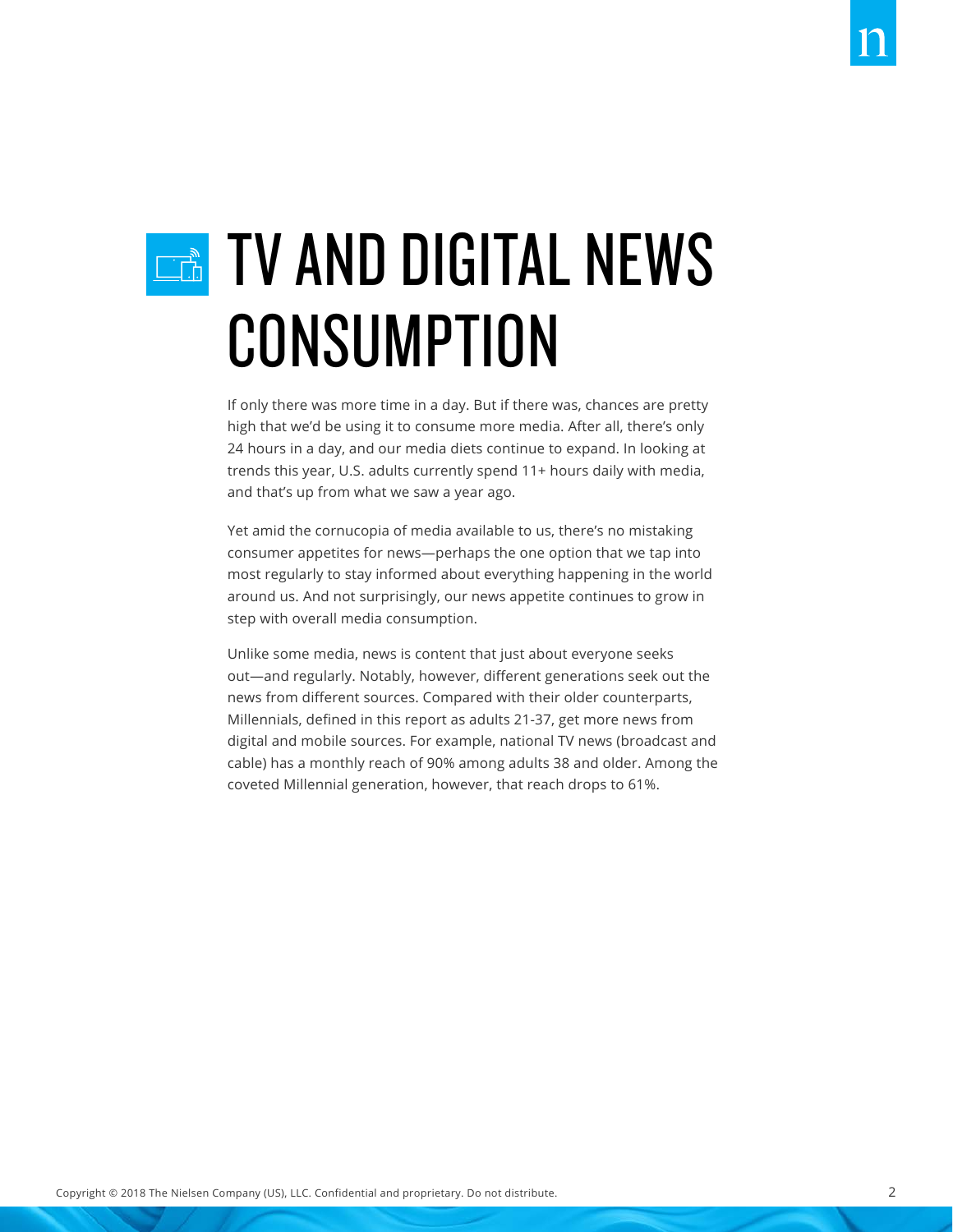## **EXAMP DIGITAL NEWS** CONSUMPTION

If only there was more time in a day. But if there was, chances are pretty high that we'd be using it to consume more media. After all, there's only 24 hours in a day, and our media diets continue to expand. In looking at trends this year, U.S. adults currently spend 11+ hours daily with media, and that's up from what we saw a year ago.

Yet amid the cornucopia of media available to us, there's no mistaking consumer appetites for news—perhaps the one option that we tap into most regularly to stay informed about everything happening in the world around us. And not surprisingly, our news appetite continues to grow in step with overall media consumption.

Unlike some media, news is content that just about everyone seeks out—and regularly. Notably, however, different generations seek out the news from different sources. Compared with their older counterparts, Millennials, defined in this report as adults 21-37, get more news from digital and mobile sources. For example, national TV news (broadcast and cable) has a monthly reach of 90% among adults 38 and older. Among the coveted Millennial generation, however, that reach drops to 61%.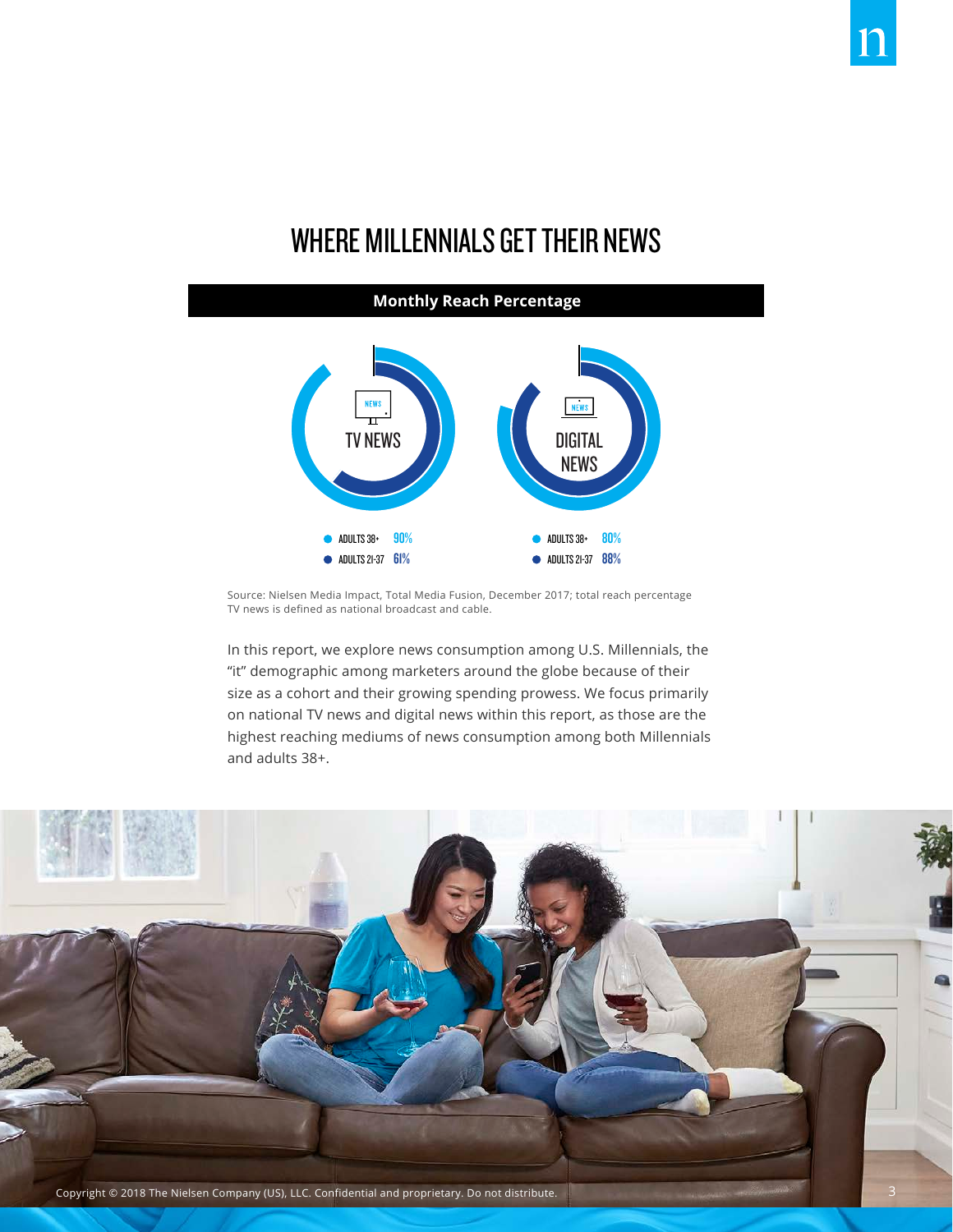### WHERE MILLENNIALS GET THEIR NEWS

#### **Monthly Reach Percentage** $\frac{NEVS}{11}$ **NEWS NEWS** ADULTS  $38 - 90\%$ ADULTS 38+ 80% ADULTS 21-37 61% ADULTS 21-37 88%

Source: Nielsen Media Impact, Total Media Fusion, December 2017; total reach percentage TV news is defined as national broadcast and cable.

In this report, we explore news consumption among U.S. Millennials, the "it" demographic among marketers around the globe because of their size as a cohort and their growing spending prowess. We focus primarily on national TV news and digital news within this report, as those are the highest reaching mediums of news consumption among both Millennials and adults 38+.

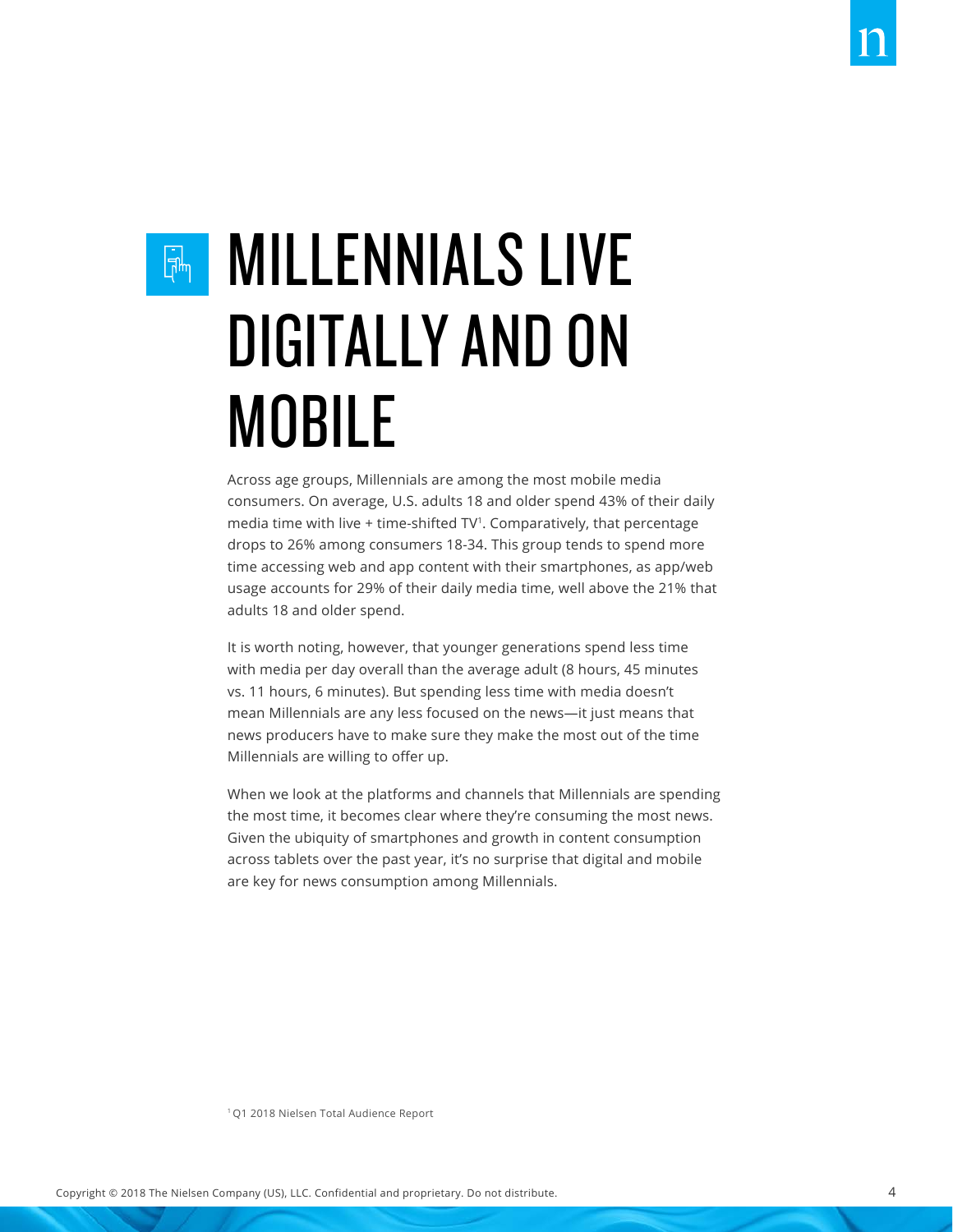### $\overline{\mathbb{R}}$

### MILLENNIALS LIVE DIGITALLY AND ON MOBILE

Across age groups, Millennials are among the most mobile media consumers. On average, U.S. adults 18 and older spend 43% of their daily media time with live + time-shifted TV<sup>1</sup>. Comparatively, that percentage drops to 26% among consumers 18-34. This group tends to spend more time accessing web and app content with their smartphones, as app/web usage accounts for 29% of their daily media time, well above the 21% that adults 18 and older spend.

It is worth noting, however, that younger generations spend less time with media per day overall than the average adult (8 hours, 45 minutes vs. 11 hours, 6 minutes). But spending less time with media doesn't mean Millennials are any less focused on the news—it just means that news producers have to make sure they make the most out of the time Millennials are willing to offer up.

When we look at the platforms and channels that Millennials are spending the most time, it becomes clear where they're consuming the most news. Given the ubiquity of smartphones and growth in content consumption across tablets over the past year, it's no surprise that digital and mobile are key for news consumption among Millennials.

1 Q1 2018 Nielsen Total Audience Report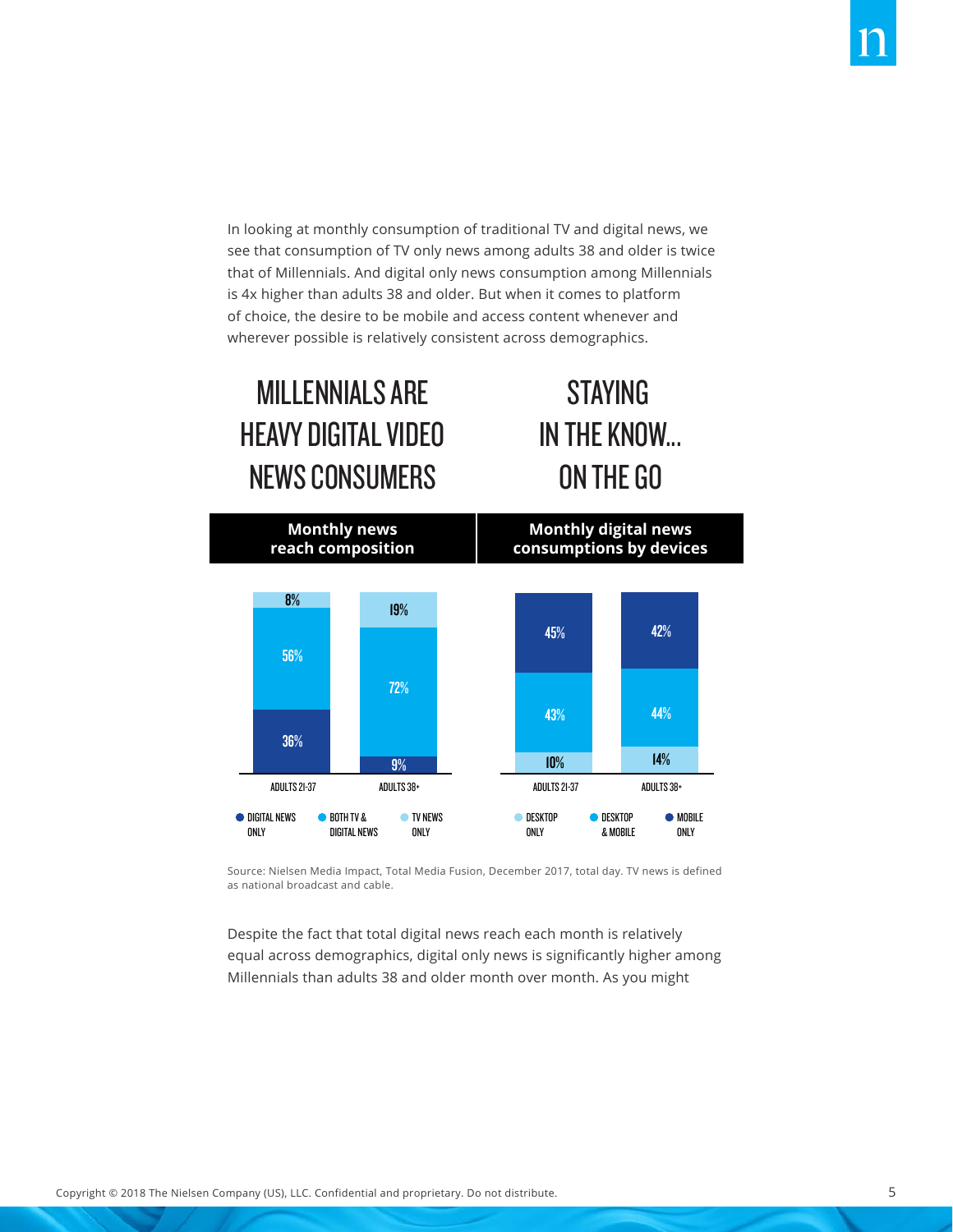In looking at monthly consumption of traditional TV and digital news, we see that consumption of TV only news among adults 38 and older is twice that of Millennials. And digital only news consumption among Millennials is 4x higher than adults 38 and older. But when it comes to platform of choice, the desire to be mobile and access content whenever and wherever possible is relatively consistent across demographics.

**STAYING** 

IN THE KNOW... IN THE KNOW...

ON THE GO ON THE GO

### MILLENNIALS ARE MILLENNIALS ARE HEAVY DIGITAL VIDEO HEAVY DIGITAL VIDEO NEWS CONSUMERS NEWS CONSUMERS



Source: Nielsen Media Impact, Total Media Fusion, December 2017, total day. TV news is defined as national broadcast and cable.

Despite the fact that total digital news reach each month is relatively equal across demographics, digital only news is significantly higher among Millennials than adults 38 and older month over month. As you might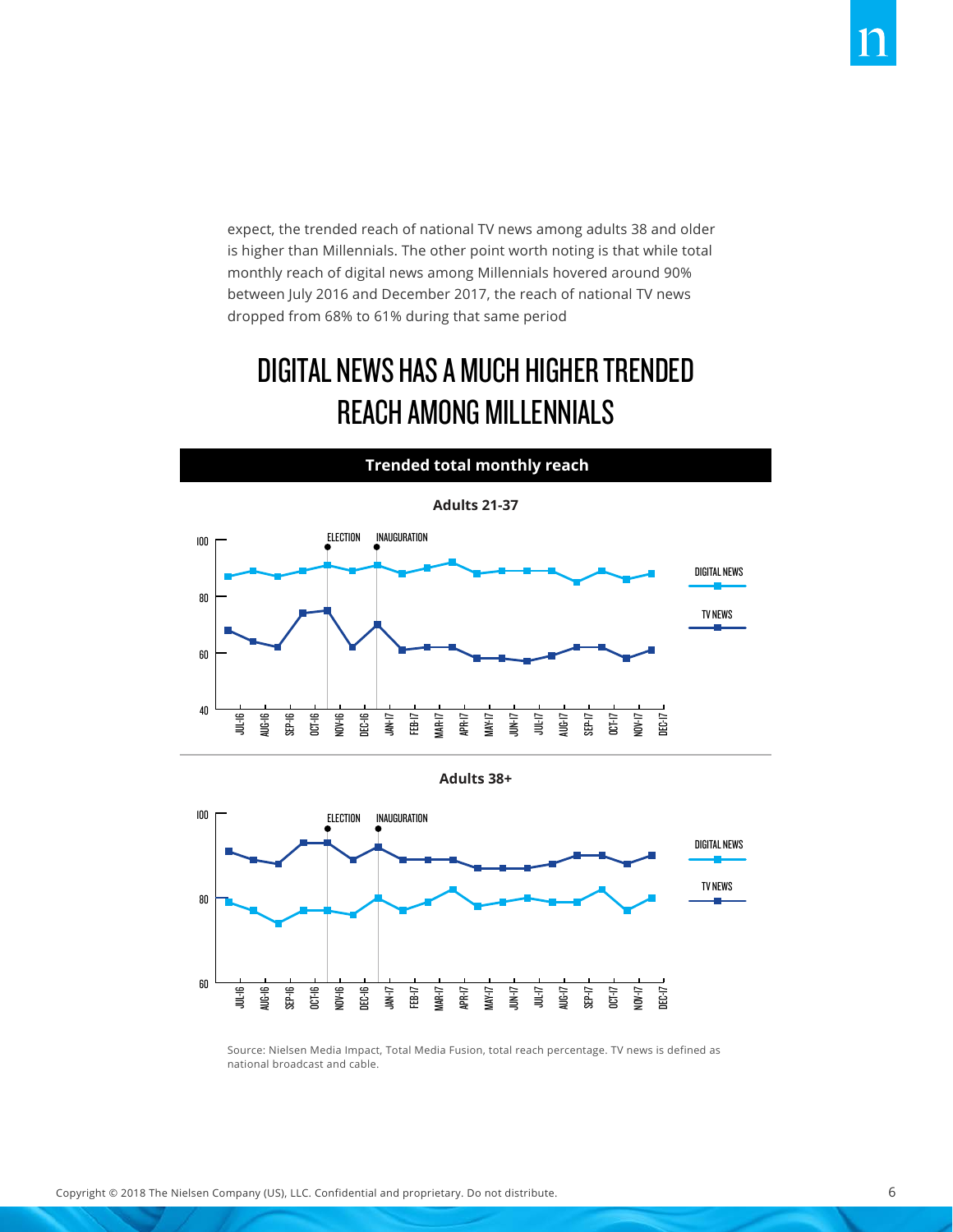expect, the trended reach of national TV news among adults 38 and older is higher than Millennials. The other point worth noting is that while total monthly reach of digital news among Millennials hovered around 90% between July 2016 and December 2017, the reach of national TV news dropped from 68% to 61% during that same period

### DIGITAL NEWS HAS A MUCH HIGHER TRENDED REACH AMONG MILLENNIALS



**Adults 38+**



Source: Nielsen Media Impact, Total Media Fusion, total reach percentage. TV news is defined as national broadcast and cable.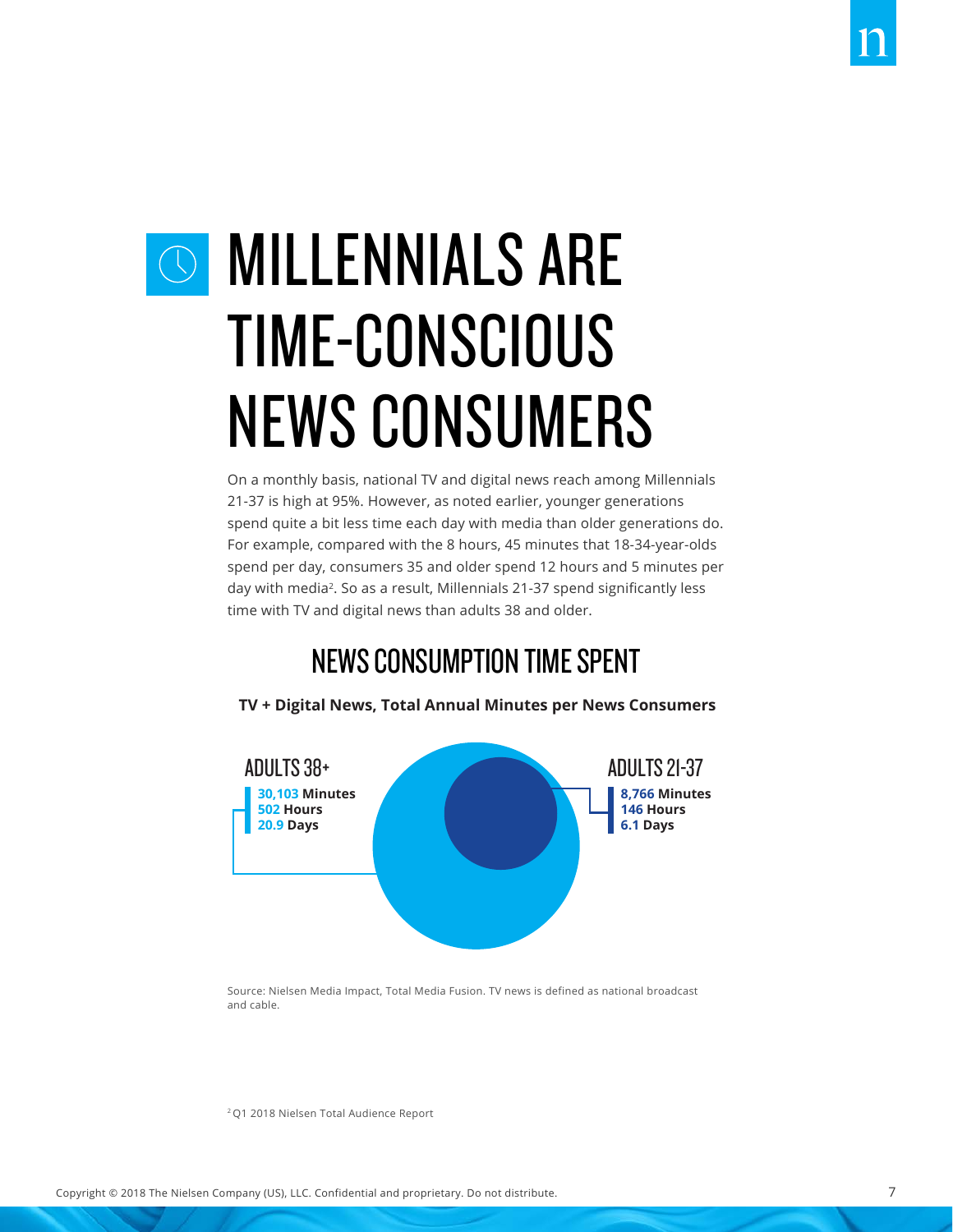### O MILLENNIALS ARE TIME-CONSCIOUS NEWS CONSUMERS

On a monthly basis, national TV and digital news reach among Millennials 21-37 is high at 95%. However, as noted earlier, younger generations spend quite a bit less time each day with media than older generations do. For example, compared with the 8 hours, 45 minutes that 18-34-year-olds spend per day, consumers 35 and older spend 12 hours and 5 minutes per day with media<sup>2</sup>. So as a result, Millennials 21-37 spend significantly less time with TV and digital news than adults 38 and older.

### NEWS CONSUMPTION TIME SPENT



**TV + Digital News, Total Annual Minutes per News Consumers**

Source: Nielsen Media Impact, Total Media Fusion. TV news is defined as national broadcast and cable.

2 Q1 2018 Nielsen Total Audience Report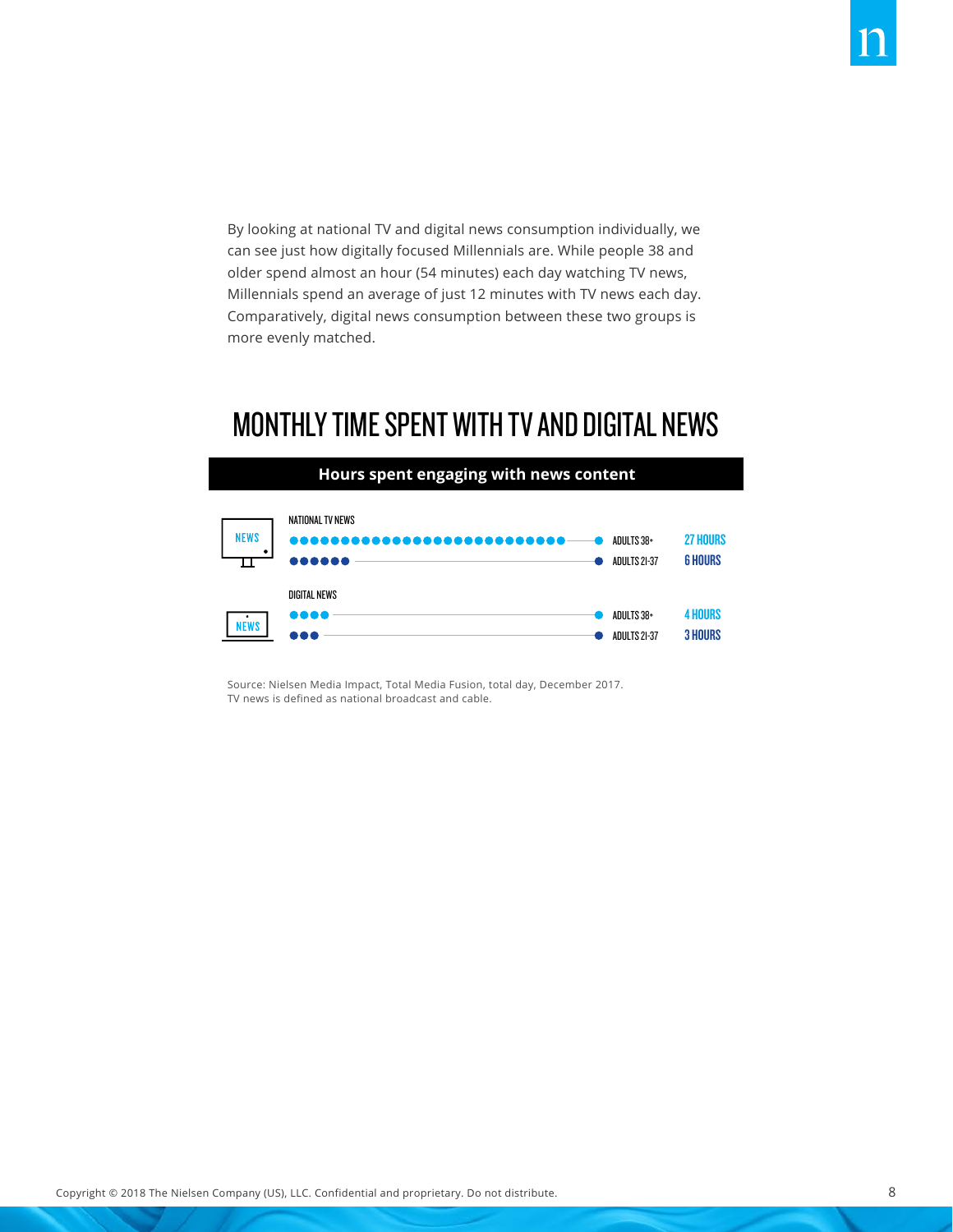By looking at national TV and digital news consumption individually, we can see just how digitally focused Millennials are. While people 38 and older spend almost an hour (54 minutes) each day watching TV news, Millennials spend an average of just 12 minutes with TV news each day. Comparatively, digital news consumption between these two groups is more evenly matched.

#### MONTHLY TIME SPENT WITH TV AND DIGITAL NEWS



Source: Nielsen Media Impact, Total Media Fusion, total day, December 2017. TV news is defined as national broadcast and cable.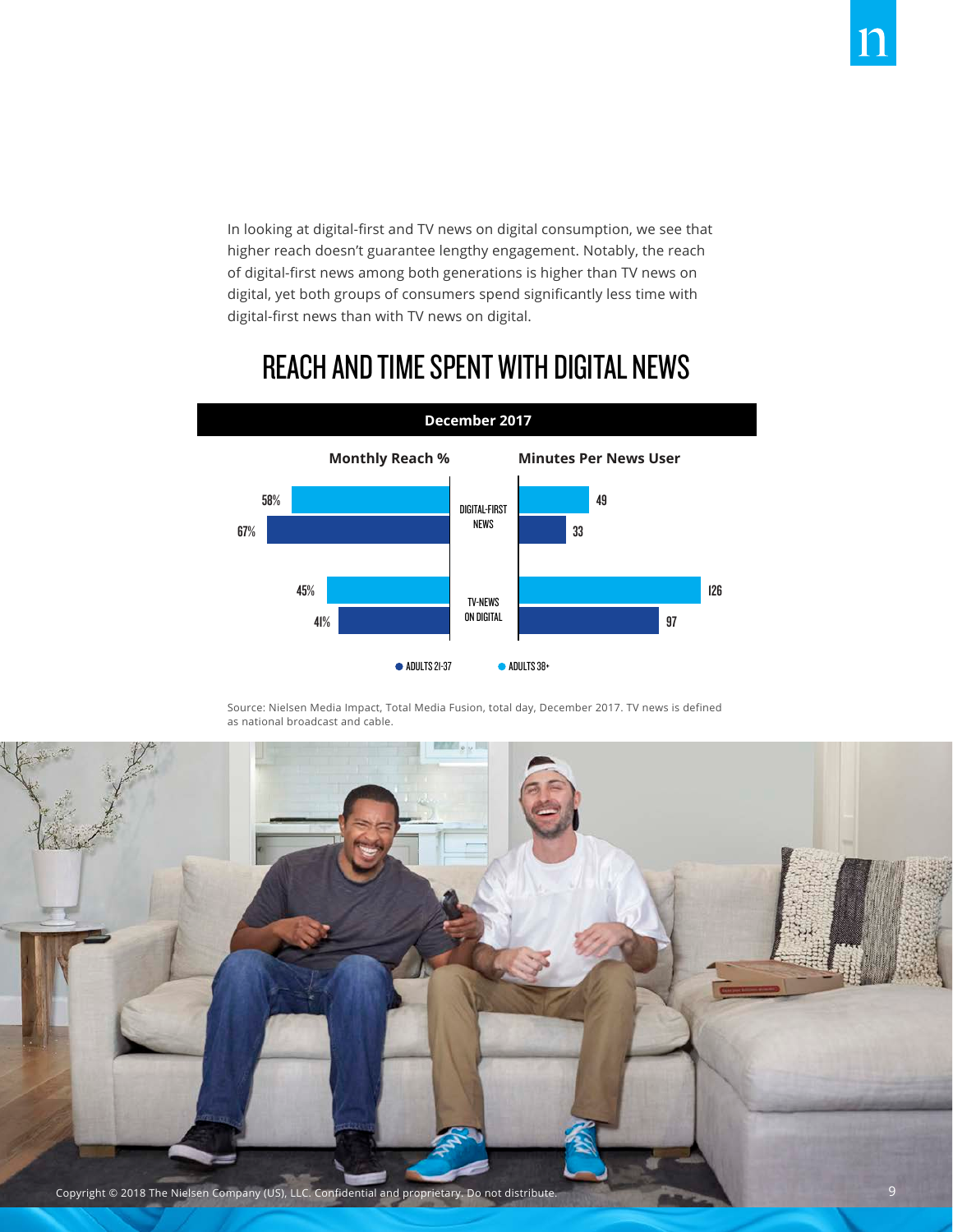In looking at digital-first and TV news on digital consumption, we see that higher reach doesn't guarantee lengthy engagement. Notably, the reach of digital-first news among both generations is higher than TV news on digital, yet both groups of consumers spend significantly less time with digital-first news than with TV news on digital.

#### REACH AND TIME SPENT WITH DIGITAL NEWS



Source: Nielsen Media Impact, Total Media Fusion, total day, December 2017. TV news is defined as national broadcast and cable.

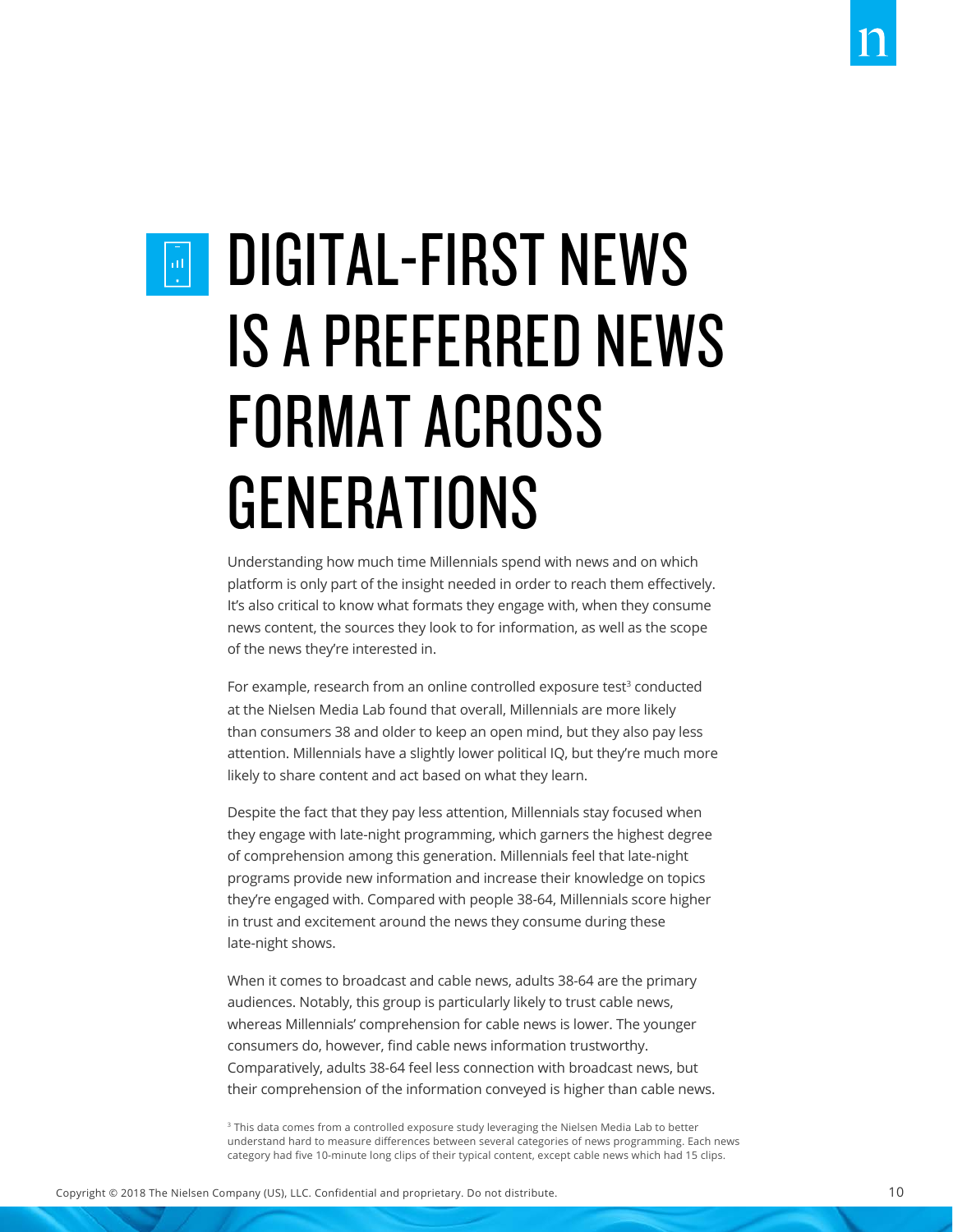### $\left[\frac{1}{10}\right]$

### DIGITAL-FIRST NEWS IS A PREFERRED NEWS FORMAT ACROSS GENERATIONS

Understanding how much time Millennials spend with news and on which platform is only part of the insight needed in order to reach them effectively. It's also critical to know what formats they engage with, when they consume news content, the sources they look to for information, as well as the scope of the news they're interested in.

For example, research from an online controlled exposure test<sup>3</sup> conducted at the Nielsen Media Lab found that overall, Millennials are more likely than consumers 38 and older to keep an open mind, but they also pay less attention. Millennials have a slightly lower political IQ, but they're much more likely to share content and act based on what they learn.

Despite the fact that they pay less attention, Millennials stay focused when they engage with late-night programming, which garners the highest degree of comprehension among this generation. Millennials feel that late-night programs provide new information and increase their knowledge on topics they're engaged with. Compared with people 38-64, Millennials score higher in trust and excitement around the news they consume during these late-night shows.

When it comes to broadcast and cable news, adults 38-64 are the primary audiences. Notably, this group is particularly likely to trust cable news, whereas Millennials' comprehension for cable news is lower. The younger consumers do, however, find cable news information trustworthy. Comparatively, adults 38-64 feel less connection with broadcast news, but their comprehension of the information conveyed is higher than cable news.

<sup>3</sup> This data comes from a controlled exposure study leveraging the Nielsen Media Lab to better understand hard to measure differences between several categories of news programming. Each news category had five 10-minute long clips of their typical content, except cable news which had 15 clips.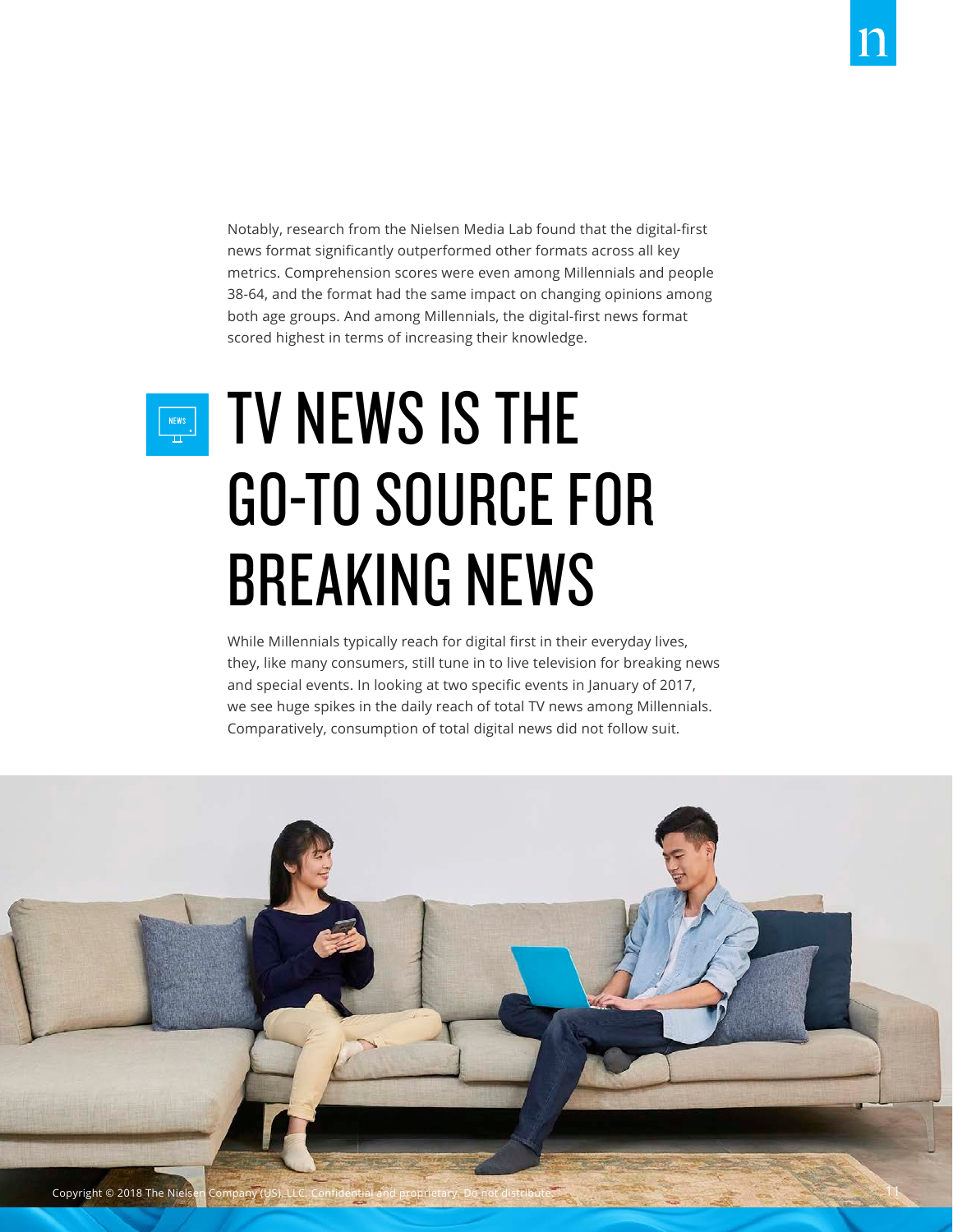Notably, research from the Nielsen Media Lab found that the digital-first news format significantly outperformed other formats across all key metrics. Comprehension scores were even among Millennials and people 38-64, and the format had the same impact on changing opinions among both age groups. And among Millennials, the digital-first news format scored highest in terms of increasing their knowledge.

NEWS

### TV NEWS IS THE GO-TO SOURCE FOR BREAKING NEWS

While Millennials typically reach for digital first in their everyday lives, they, like many consumers, still tune in to live television for breaking news and special events. In looking at two specific events in January of 2017, we see huge spikes in the daily reach of total TV news among Millennials. Comparatively, consumption of total digital news did not follow suit.

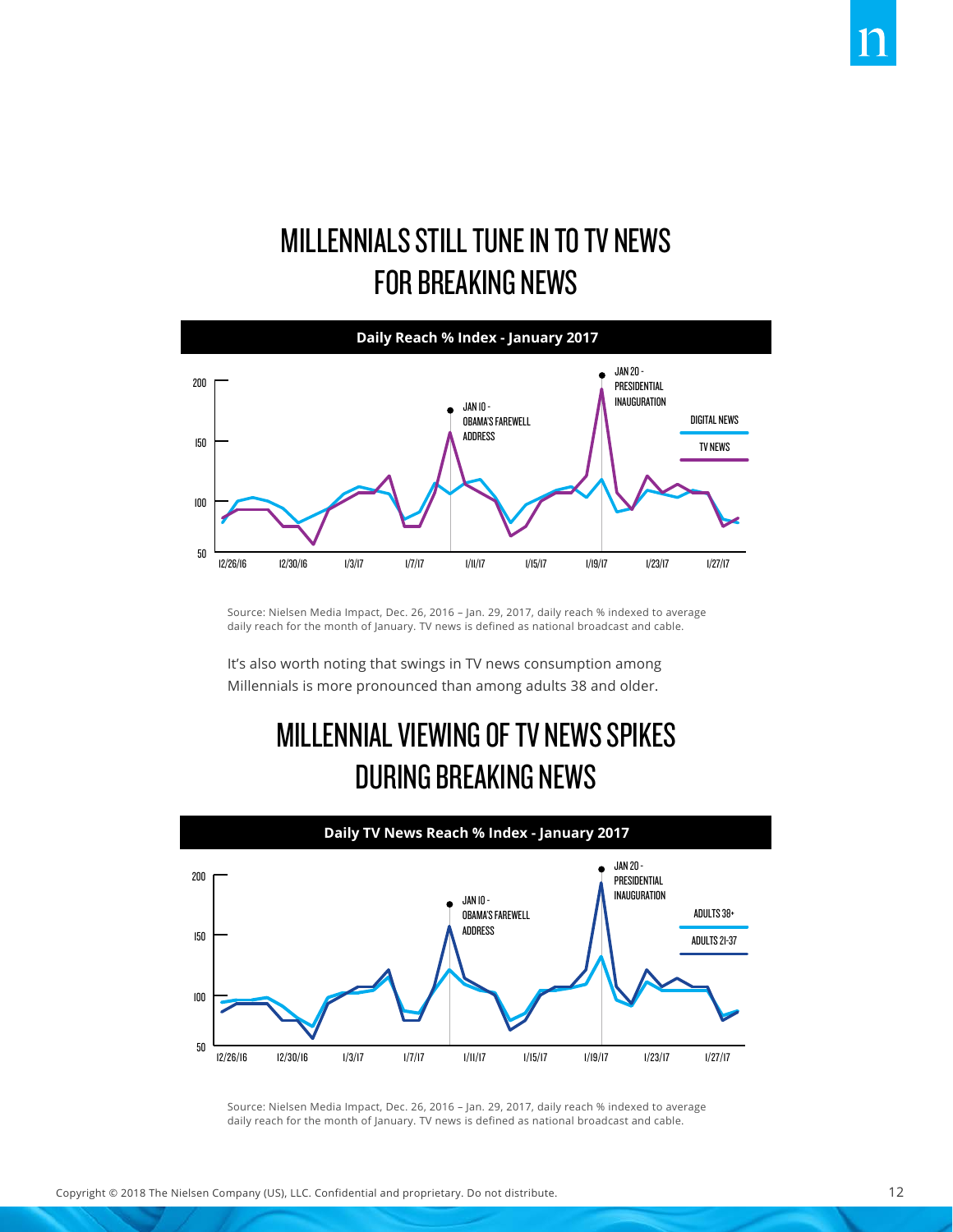### MILLENNIALS STILL TUNE IN TO TV NEWS FOR BREAKING NEWS



Source: Nielsen Media Impact, Dec. 26, 2016 – Jan. 29, 2017, daily reach % indexed to average daily reach for the month of January. TV news is defined as national broadcast and cable.

It's also worth noting that swings in TV news consumption among Millennials is more pronounced than among adults 38 and older.

### MILLENNIAL VIEWING OF TV NEWS SPIKES DURING BREAKING NEWS



Source: Nielsen Media Impact, Dec. 26, 2016 – Jan. 29, 2017, daily reach % indexed to average daily reach for the month of January. TV news is defined as national broadcast and cable.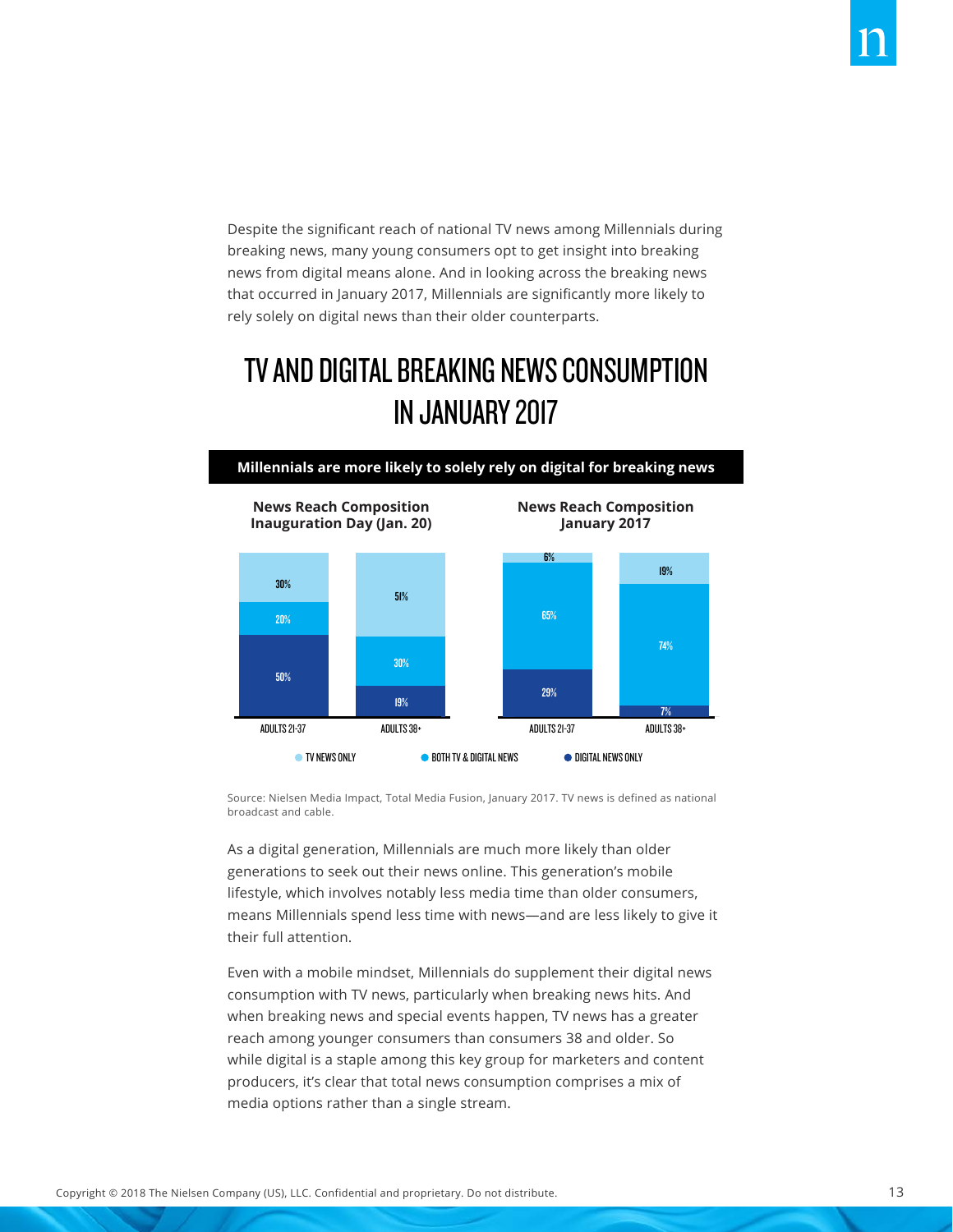Despite the significant reach of national TV news among Millennials during breaking news, many young consumers opt to get insight into breaking news from digital means alone. And in looking across the breaking news that occurred in January 2017, Millennials are significantly more likely to rely solely on digital news than their older counterparts.

### TV AND DIGITAL BREAKING NEWS CONSUMPTION IN JANUARY 2017



Source: Nielsen Media Impact, Total Media Fusion, January 2017. TV news is defined as national broadcast and cable.

As a digital generation, Millennials are much more likely than older generations to seek out their news online. This generation's mobile lifestyle, which involves notably less media time than older consumers, means Millennials spend less time with news—and are less likely to give it their full attention.

Even with a mobile mindset, Millennials do supplement their digital news consumption with TV news, particularly when breaking news hits. And when breaking news and special events happen, TV news has a greater reach among younger consumers than consumers 38 and older. So while digital is a staple among this key group for marketers and content producers, it's clear that total news consumption comprises a mix of media options rather than a single stream.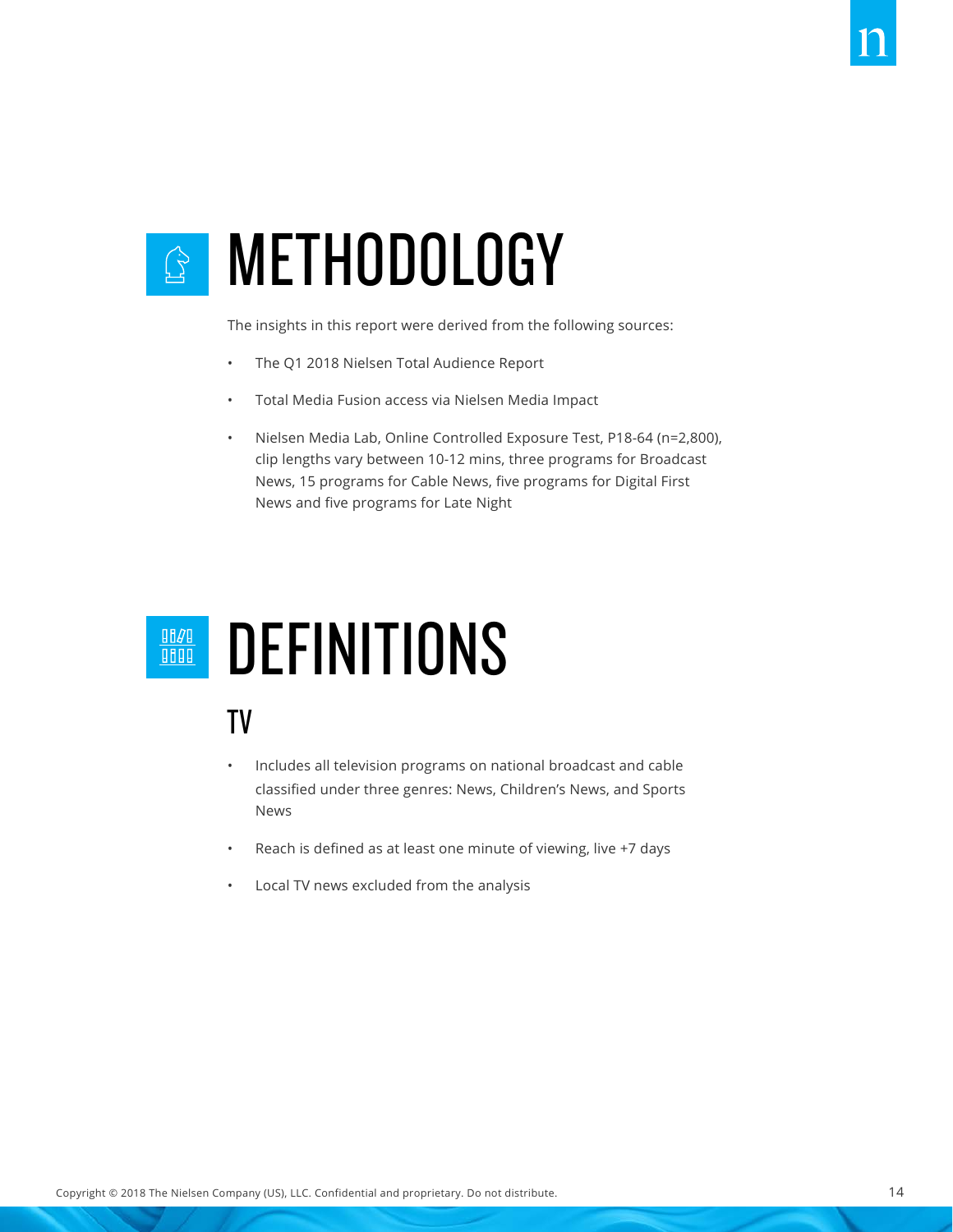### METHODOLOGY  $\begin{picture}(120,15) \put(0,0){\line(1,0){15}} \put(15,0){\line(1,0){15}} \put(15,0){\line(1,0){15}} \put(15,0){\line(1,0){15}} \put(15,0){\line(1,0){15}} \put(15,0){\line(1,0){15}} \put(15,0){\line(1,0){15}} \put(15,0){\line(1,0){15}} \put(15,0){\line(1,0){15}} \put(15,0){\line(1,0){15}} \put(15,0){\line(1,0){15}} \put(15,0){\line($

The insights in this report were derived from the following sources:

- The Q1 2018 Nielsen Total Audience Report
- Total Media Fusion access via Nielsen Media Impact
- Nielsen Media Lab, Online Controlled Exposure Test, P18-64 (n=2,800), clip lengths vary between 10-12 mins, three programs for Broadcast News, 15 programs for Cable News, five programs for Digital First News and five programs for Late Night

### **DEFINITIONS**

#### TV

- Includes all television programs on national broadcast and cable classified under three genres: News, Children's News, and Sports News
- Reach is defined as at least one minute of viewing, live +7 days
- Local TV news excluded from the analysis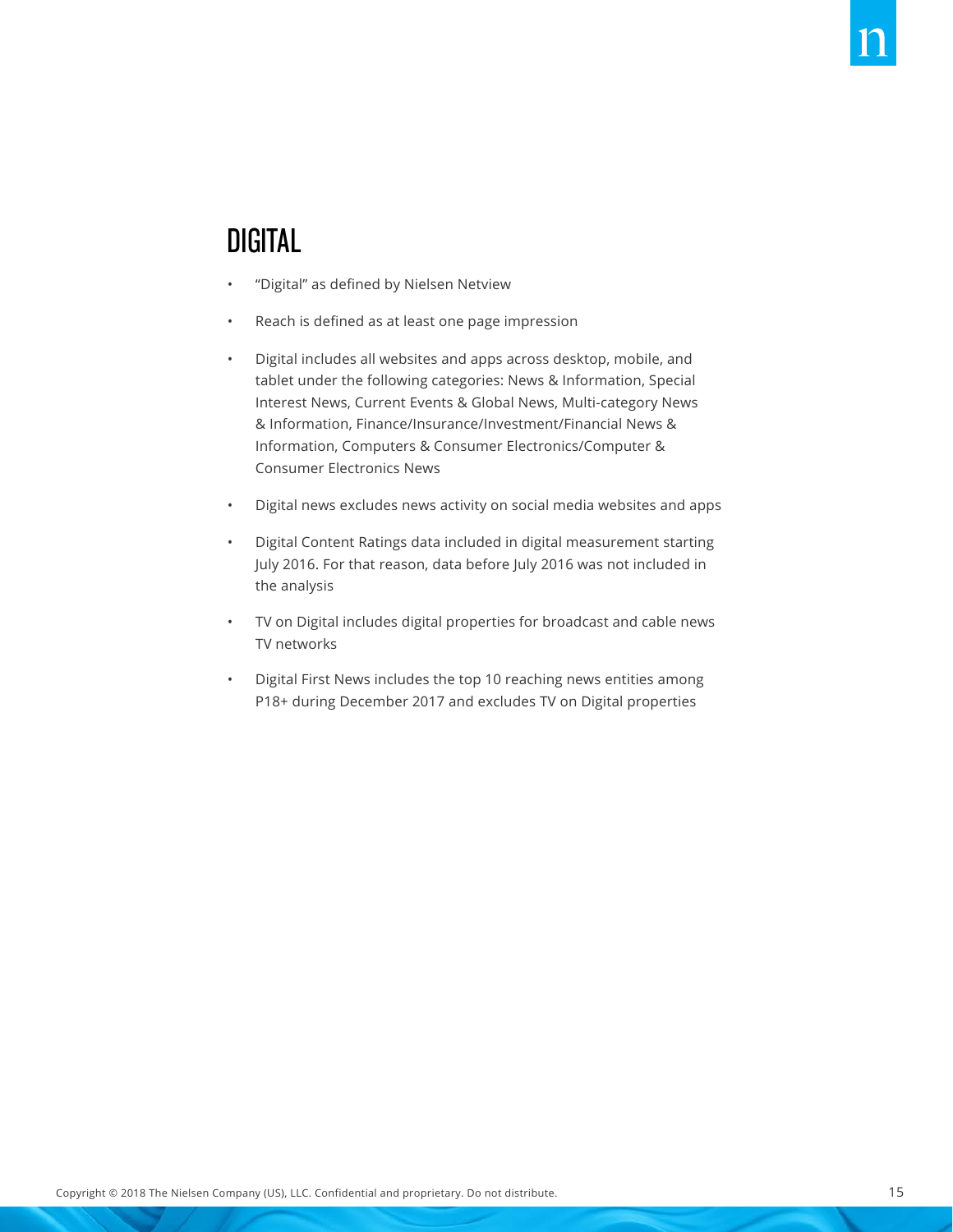#### DIGITAL

- "Digital" as defined by Nielsen Netview
- Reach is defined as at least one page impression
- Digital includes all websites and apps across desktop, mobile, and tablet under the following categories: News & Information, Special Interest News, Current Events & Global News, Multi-category News & Information, Finance/Insurance/Investment/Financial News & Information, Computers & Consumer Electronics/Computer & Consumer Electronics News
- Digital news excludes news activity on social media websites and apps
- Digital Content Ratings data included in digital measurement starting July 2016. For that reason, data before July 2016 was not included in the analysis
- TV on Digital includes digital properties for broadcast and cable news TV networks
- Digital First News includes the top 10 reaching news entities among P18+ during December 2017 and excludes TV on Digital properties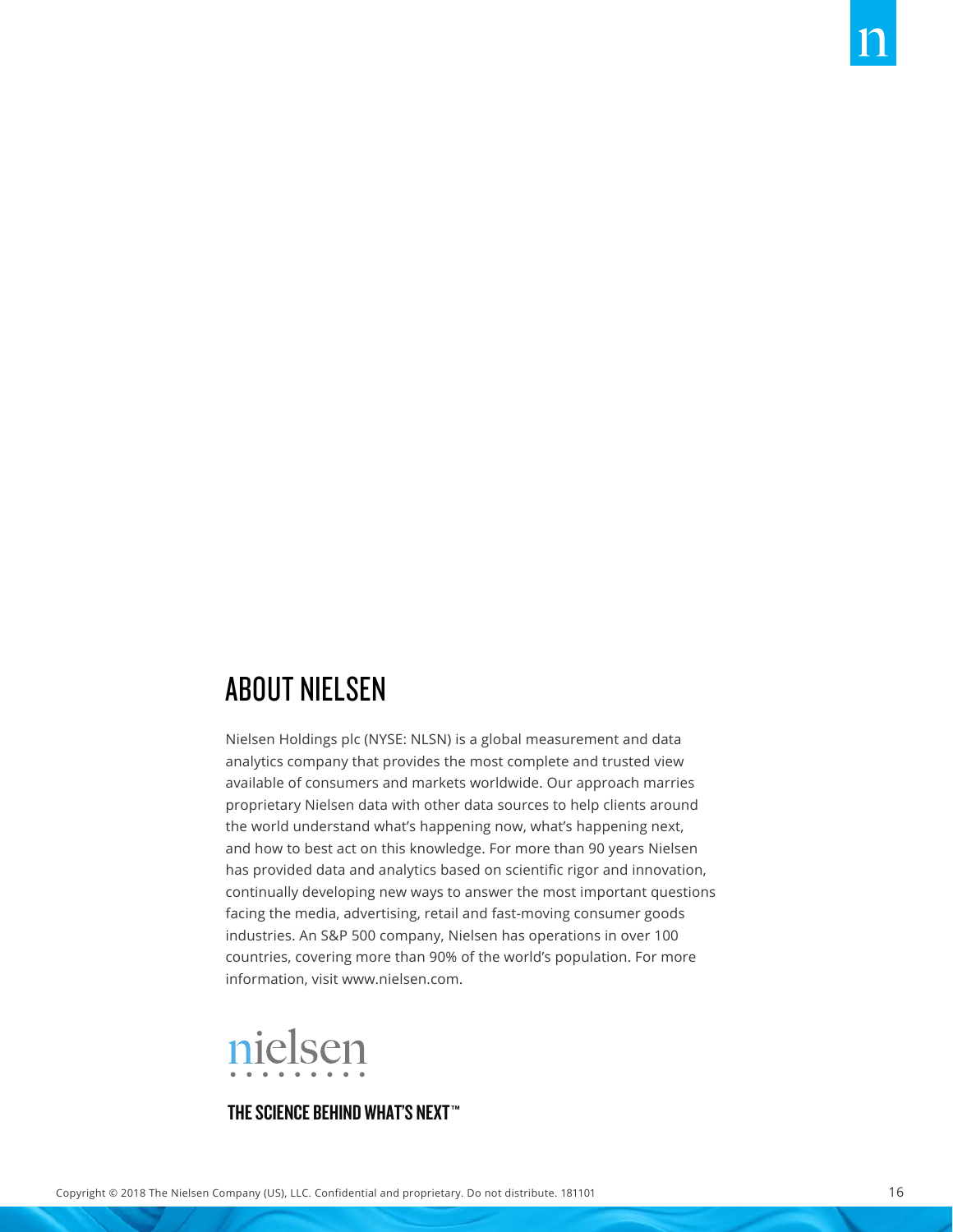### ABOUT NIELSEN

Nielsen Holdings plc (NYSE: NLSN) is a global measurement and data analytics company that provides the most complete and trusted view available of consumers and markets worldwide. Our approach marries proprietary Nielsen data with other data sources to help clients around the world understand what's happening now, what's happening next, and how to best act on this knowledge. For more than 90 years Nielsen has provided data and analytics based on scientific rigor and innovation, continually developing new ways to answer the most important questions facing the media, advertising, retail and fast-moving consumer goods industries. An S&P 500 company, Nielsen has operations in over 100 countries, covering more than 90% of the world's population. For more information, visit www.nielsen.com.



#### THE SCIENCE BEHIND WHAT'S NEXT™